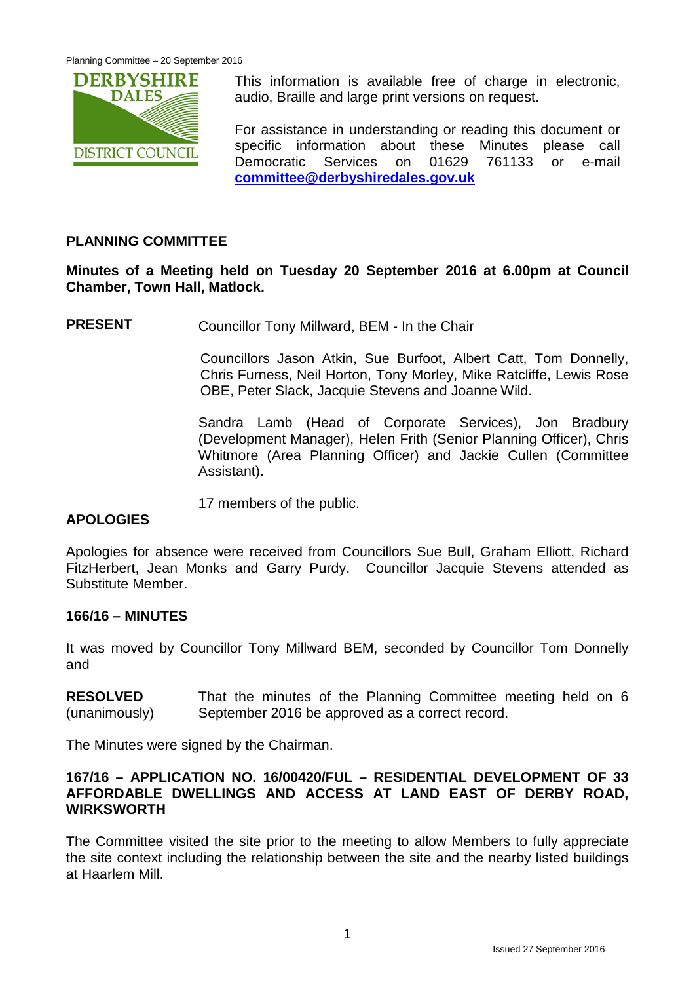

This information is available free of charge in electronic, audio, Braille and large print versions on request.

For assistance in understanding or reading this document or specific information about these Minutes please call Democratic Services on 01629 761133 or e-mail **[committee@derbyshiredales.gov.uk](mailto:committee@derbyshiredales.gov.uk)**

# **PLANNING COMMITTEE**

# **Minutes of a Meeting held on Tuesday 20 September 2016 at 6.00pm at Council Chamber, Town Hall, Matlock.**

**PRESENT** Councillor Tony Millward, BEM - In the Chair

Councillors Jason Atkin, Sue Burfoot, Albert Catt, Tom Donnelly, Chris Furness, Neil Horton, Tony Morley, Mike Ratcliffe, Lewis Rose OBE, Peter Slack, Jacquie Stevens and Joanne Wild.

Sandra Lamb (Head of Corporate Services), Jon Bradbury (Development Manager), Helen Frith (Senior Planning Officer), Chris Whitmore (Area Planning Officer) and Jackie Cullen (Committee Assistant).

17 members of the public.

# **APOLOGIES**

Apologies for absence were received from Councillors Sue Bull, Graham Elliott, Richard FitzHerbert, Jean Monks and Garry Purdy. Councillor Jacquie Stevens attended as Substitute Member.

### **166/16 – MINUTES**

It was moved by Councillor Tony Millward BEM, seconded by Councillor Tom Donnelly and

**RESOLVED** (unanimously) That the minutes of the Planning Committee meeting held on 6 September 2016 be approved as a correct record.

The Minutes were signed by the Chairman.

#### **167/16 – APPLICATION NO. 16/00420/FUL – RESIDENTIAL DEVELOPMENT OF 33 AFFORDABLE DWELLINGS AND ACCESS AT LAND EAST OF DERBY ROAD, WIRKSWORTH**

The Committee visited the site prior to the meeting to allow Members to fully appreciate the site context including the relationship between the site and the nearby listed buildings at Haarlem Mill.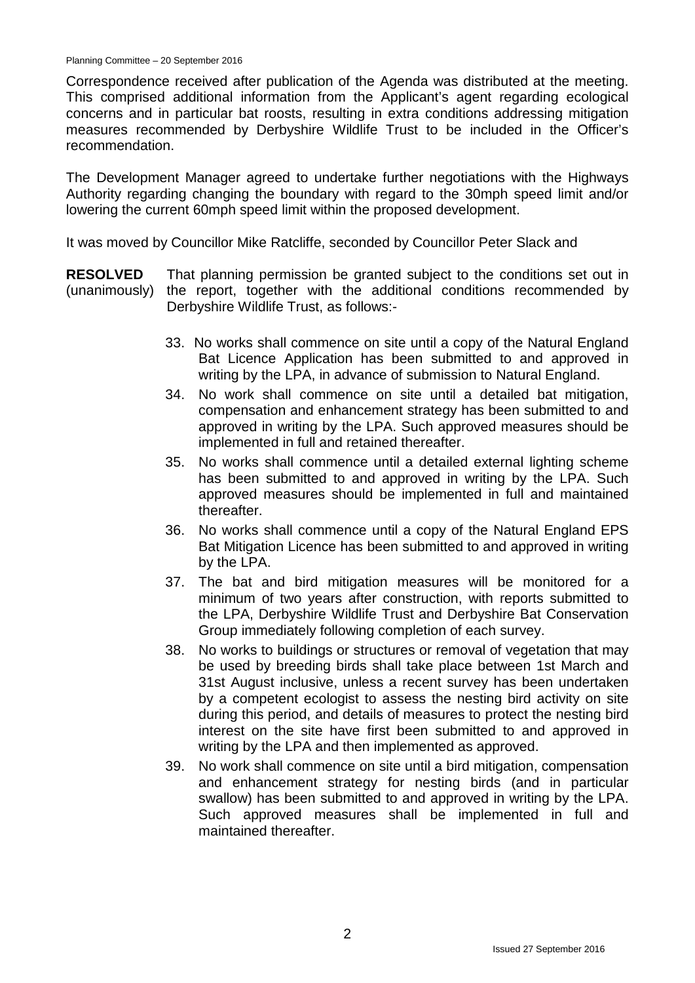Correspondence received after publication of the Agenda was distributed at the meeting. This comprised additional information from the Applicant's agent regarding ecological concerns and in particular bat roosts, resulting in extra conditions addressing mitigation measures recommended by Derbyshire Wildlife Trust to be included in the Officer's recommendation.

The Development Manager agreed to undertake further negotiations with the Highways Authority regarding changing the boundary with regard to the 30mph speed limit and/or lowering the current 60mph speed limit within the proposed development.

It was moved by Councillor Mike Ratcliffe, seconded by Councillor Peter Slack and

**RESOLVED** (unanimously) That planning permission be granted subject to the conditions set out in the report, together with the additional conditions recommended by Derbyshire Wildlife Trust, as follows:-

- 33. No works shall commence on site until a copy of the Natural England Bat Licence Application has been submitted to and approved in writing by the LPA, in advance of submission to Natural England.
- 34. No work shall commence on site until a detailed bat mitigation, compensation and enhancement strategy has been submitted to and approved in writing by the LPA. Such approved measures should be implemented in full and retained thereafter.
- 35. No works shall commence until a detailed external lighting scheme has been submitted to and approved in writing by the LPA. Such approved measures should be implemented in full and maintained thereafter.
- 36. No works shall commence until a copy of the Natural England EPS Bat Mitigation Licence has been submitted to and approved in writing by the LPA.
- 37. The bat and bird mitigation measures will be monitored for a minimum of two years after construction, with reports submitted to the LPA, Derbyshire Wildlife Trust and Derbyshire Bat Conservation Group immediately following completion of each survey.
- 38. No works to buildings or structures or removal of vegetation that may be used by breeding birds shall take place between 1st March and 31st August inclusive, unless a recent survey has been undertaken by a competent ecologist to assess the nesting bird activity on site during this period, and details of measures to protect the nesting bird interest on the site have first been submitted to and approved in writing by the LPA and then implemented as approved.
- 39. No work shall commence on site until a bird mitigation, compensation and enhancement strategy for nesting birds (and in particular swallow) has been submitted to and approved in writing by the LPA. Such approved measures shall be implemented in full and maintained thereafter.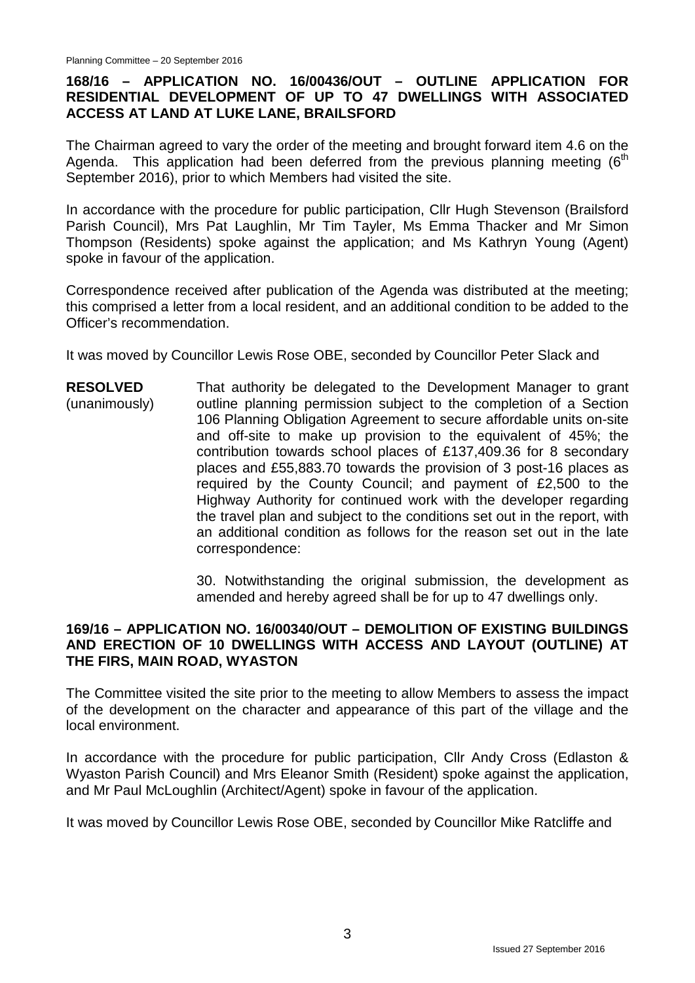# **168/16 – APPLICATION NO. 16/00436/OUT – OUTLINE APPLICATION FOR RESIDENTIAL DEVELOPMENT OF UP TO 47 DWELLINGS WITH ASSOCIATED ACCESS AT LAND AT LUKE LANE, BRAILSFORD**

The Chairman agreed to vary the order of the meeting and brought forward item 4.6 on the Agenda. This application had been deferred from the previous planning meeting  $6<sup>th</sup>$ September 2016), prior to which Members had visited the site.

In accordance with the procedure for public participation, Cllr Hugh Stevenson (Brailsford Parish Council), Mrs Pat Laughlin, Mr Tim Tayler, Ms Emma Thacker and Mr Simon Thompson (Residents) spoke against the application; and Ms Kathryn Young (Agent) spoke in favour of the application.

Correspondence received after publication of the Agenda was distributed at the meeting; this comprised a letter from a local resident, and an additional condition to be added to the Officer's recommendation.

It was moved by Councillor Lewis Rose OBE, seconded by Councillor Peter Slack and

**RESOLVED** (unanimously) That authority be delegated to the Development Manager to grant outline planning permission subject to the completion of a Section 106 Planning Obligation Agreement to secure affordable units on-site and off-site to make up provision to the equivalent of 45%; the contribution towards school places of £137,409.36 for 8 secondary places and £55,883.70 towards the provision of 3 post-16 places as required by the County Council; and payment of £2,500 to the Highway Authority for continued work with the developer regarding the travel plan and subject to the conditions set out in the report, with an additional condition as follows for the reason set out in the late correspondence:

> 30. Notwithstanding the original submission, the development as amended and hereby agreed shall be for up to 47 dwellings only.

### **169/16 – APPLICATION NO. 16/00340/OUT – DEMOLITION OF EXISTING BUILDINGS AND ERECTION OF 10 DWELLINGS WITH ACCESS AND LAYOUT (OUTLINE) AT THE FIRS, MAIN ROAD, WYASTON**

The Committee visited the site prior to the meeting to allow Members to assess the impact of the development on the character and appearance of this part of the village and the local environment.

In accordance with the procedure for public participation, CIIr Andy Cross (Edlaston & Wyaston Parish Council) and Mrs Eleanor Smith (Resident) spoke against the application, and Mr Paul McLoughlin (Architect/Agent) spoke in favour of the application.

It was moved by Councillor Lewis Rose OBE, seconded by Councillor Mike Ratcliffe and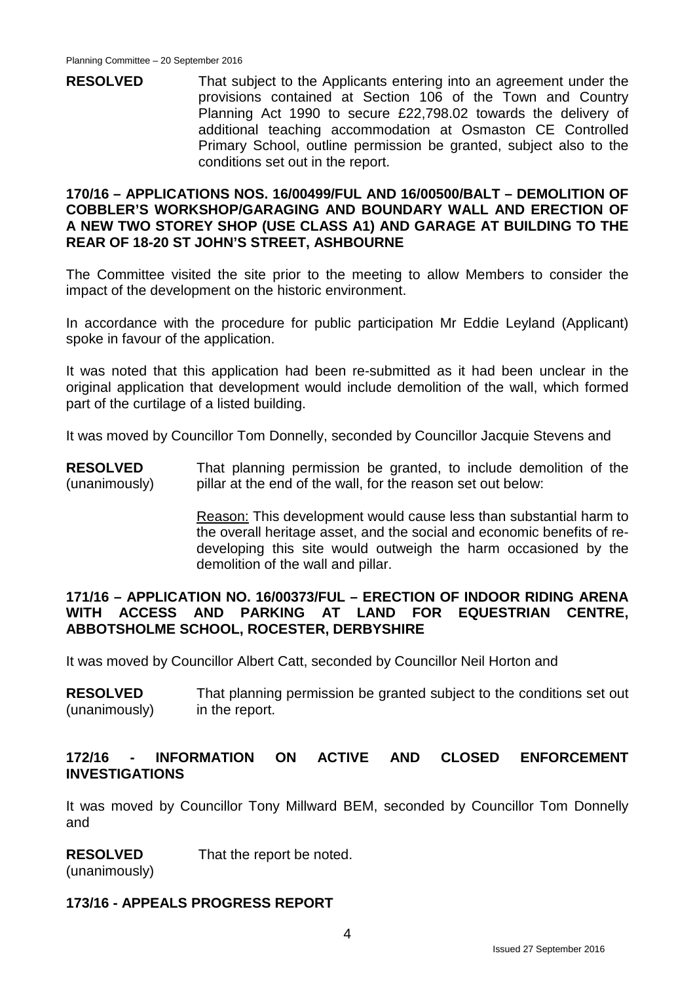**RESOLVED** That subject to the Applicants entering into an agreement under the provisions contained at Section 106 of the Town and Country Planning Act 1990 to secure £22,798.02 towards the delivery of additional teaching accommodation at Osmaston CE Controlled Primary School, outline permission be granted, subject also to the conditions set out in the report.

#### **170/16 – APPLICATIONS NOS. 16/00499/FUL AND 16/00500/BALT – DEMOLITION OF COBBLER'S WORKSHOP/GARAGING AND BOUNDARY WALL AND ERECTION OF A NEW TWO STOREY SHOP (USE CLASS A1) AND GARAGE AT BUILDING TO THE REAR OF 18-20 ST JOHN'S STREET, ASHBOURNE**

The Committee visited the site prior to the meeting to allow Members to consider the impact of the development on the historic environment.

In accordance with the procedure for public participation Mr Eddie Leyland (Applicant) spoke in favour of the application.

It was noted that this application had been re-submitted as it had been unclear in the original application that development would include demolition of the wall, which formed part of the curtilage of a listed building.

It was moved by Councillor Tom Donnelly, seconded by Councillor Jacquie Stevens and

**RESOLVED** (unanimously) That planning permission be granted, to include demolition of the pillar at the end of the wall, for the reason set out below:

> Reason: This development would cause less than substantial harm to the overall heritage asset, and the social and economic benefits of redeveloping this site would outweigh the harm occasioned by the demolition of the wall and pillar.

#### **171/16 – APPLICATION NO. 16/00373/FUL – ERECTION OF INDOOR RIDING ARENA WITH ACCESS AND PARKING AT LAND FOR EQUESTRIAN CENTRE, ABBOTSHOLME SCHOOL, ROCESTER, DERBYSHIRE**

It was moved by Councillor Albert Catt, seconded by Councillor Neil Horton and

**RESOLVED** (unanimously) That planning permission be granted subject to the conditions set out in the report.

#### **172/16 - INFORMATION ON ACTIVE AND CLOSED ENFORCEMENT INVESTIGATIONS**

It was moved by Councillor Tony Millward BEM, seconded by Councillor Tom Donnelly and

#### **RESOLVED** That the report be noted.

(unanimously)

# **173/16 - APPEALS PROGRESS REPORT**